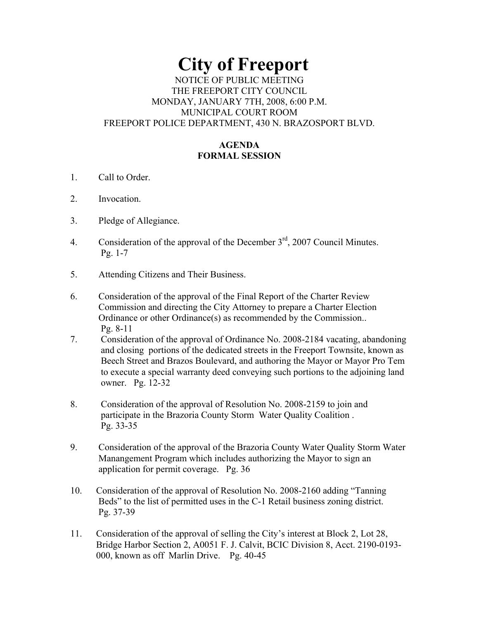# **City of Freeport**  NOTICE OF PUBLIC MEETING THE FREEPORT CITY COUNCIL MONDAY, JANUARY 7TH, 2008, 6:00 P.M. MUNICIPAL COURT ROOM FREEPORT POLICE DEPARTMENT, 430 N. BRAZOSPORT BLVD.

# **AGENDA FORMAL SESSION**

- 1. Call to Order.
- 2. Invocation.
- 3. Pledge of Allegiance.
- 4. Consideration of the approval of the December  $3<sup>rd</sup>$ , 2007 Council Minutes. Pg. 1-7
- 5. Attending Citizens and Their Business.
- 6. Consideration of the approval of the Final Report of the Charter Review Commission and directing the City Attorney to prepare a Charter Election Ordinance or other Ordinance(s) as recommended by the Commission.. Pg. 8-11
- 7. Consideration of the approval of Ordinance No. 2008-2184 vacating, abandoning and closing portions of the dedicated streets in the Freeport Townsite, known as Beech Street and Brazos Boulevard, and authoring the Mayor or Mayor Pro Tem to execute a special warranty deed conveying such portions to the adjoining land owner. Pg. 12-32
- 8. Consideration of the approval of Resolution No. 2008-2159 to join and participate in the Brazoria County Storm Water Quality Coalition . Pg. 33-35
- 9. Consideration of the approval of the Brazoria County Water Quality Storm Water Manangement Program which includes authorizing the Mayor to sign an application for permit coverage. Pg. 36
- 10. Consideration of the approval of Resolution No. 2008-2160 adding "Tanning Beds" to the list of permitted uses in the C-1 Retail business zoning district. Pg. 37-39
- 11. Consideration of the approval of selling the City's interest at Block 2, Lot 28, Bridge Harbor Section 2, A0051 F. J. Calvit, BCIC Division 8, Acct. 2190-0193- 000, known as off Marlin Drive. Pg. 40-45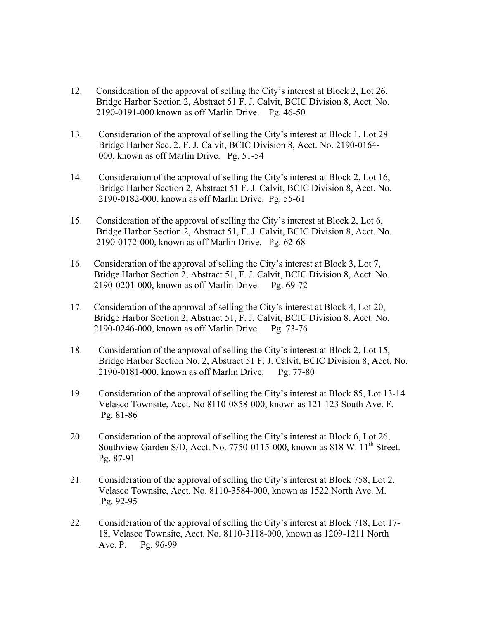- 12. Consideration of the approval of selling the City's interest at Block 2, Lot 26, Bridge Harbor Section 2, Abstract 51 F. J. Calvit, BCIC Division 8, Acct. No. 2190-0191-000 known as off Marlin Drive. Pg. 46-50
- 13. Consideration of the approval of selling the City's interest at Block 1, Lot 28 Bridge Harbor Sec. 2, F. J. Calvit, BCIC Division 8, Acct. No. 2190-0164- 000, known as off Marlin Drive. Pg. 51-54
- 14. Consideration of the approval of selling the City's interest at Block 2, Lot 16, Bridge Harbor Section 2, Abstract 51 F. J. Calvit, BCIC Division 8, Acct. No. 2190-0182-000, known as off Marlin Drive. Pg. 55-61
- 15. Consideration of the approval of selling the City's interest at Block 2, Lot 6, Bridge Harbor Section 2, Abstract 51, F. J. Calvit, BCIC Division 8, Acct. No. 2190-0172-000, known as off Marlin Drive. Pg. 62-68
- 16. Consideration of the approval of selling the City's interest at Block 3, Lot 7, Bridge Harbor Section 2, Abstract 51, F. J. Calvit, BCIC Division 8, Acct. No. 2190-0201-000, known as off Marlin Drive. Pg. 69-72
- 17. Consideration of the approval of selling the City's interest at Block 4, Lot 20, Bridge Harbor Section 2, Abstract 51, F. J. Calvit, BCIC Division 8, Acct. No. 2190-0246-000, known as off Marlin Drive. Pg. 73-76
- 18. Consideration of the approval of selling the City's interest at Block 2, Lot 15, Bridge Harbor Section No. 2, Abstract 51 F. J. Calvit, BCIC Division 8, Acct. No. 2190-0181-000, known as off Marlin Drive. Pg. 77-80
- 19. Consideration of the approval of selling the City's interest at Block 85, Lot 13-14 Velasco Townsite, Acct. No 8110-0858-000, known as 121-123 South Ave. F. Pg. 81-86
- 20. Consideration of the approval of selling the City's interest at Block 6, Lot 26, Southview Garden S/D, Acct. No. 7750-0115-000, known as 818 W.  $11<sup>th</sup>$  Street. Pg. 87-91
- 21. Consideration of the approval of selling the City's interest at Block 758, Lot 2, Velasco Townsite, Acct. No. 8110-3584-000, known as 1522 North Ave. M. Pg. 92-95
- 22. Consideration of the approval of selling the City's interest at Block 718, Lot 17- 18, Velasco Townsite, Acct. No. 8110-3118-000, known as 1209-1211 North Ave. P. Pg. 96-99